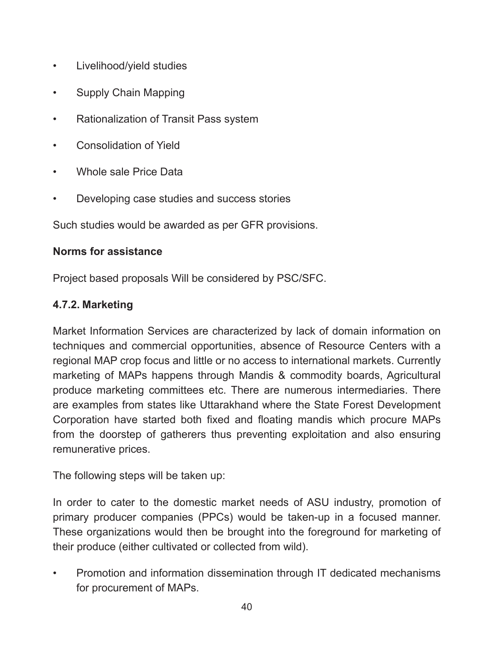- Livelihood/yield studies
- Supply Chain Mapping
- Rationalization of Transit Pass system
- Consolidation of Yield
- Whole sale Price Data
- Developing case studies and success stories

Such studies would be awarded as per GFR provisions.

#### **Norms for assistance**

Project based proposals Will be considered by PSC/SFC.

#### **4.7.2. Marketing**

Market Information Services are characterized by lack of domain information on techniques and commercial opportunities, absence of Resource Centers with a regional MAP crop focus and little or no access to international markets. Currently marketing of MAPs happens through Mandis & commodity boards, Agricultural produce marketing committees etc. There are numerous intermediaries. There are examples from states like Uttarakhand where the State Forest Development Corporation have started both ixed and loating mandis which procure MAPs from the doorstep of gatherers thus preventing exploitation and also ensuring remunerative prices.

The following steps will be taken up:

In order to cater to the domestic market needs of ASU industry, promotion of primary producer companies (PPCs) would be taken-up in a focused manner. These organizations would then be brought into the foreground for marketing of their produce (either cultivated or collected from wild).

• Promotion and information dissemination through IT dedicated mechanisms for procurement of MAPs.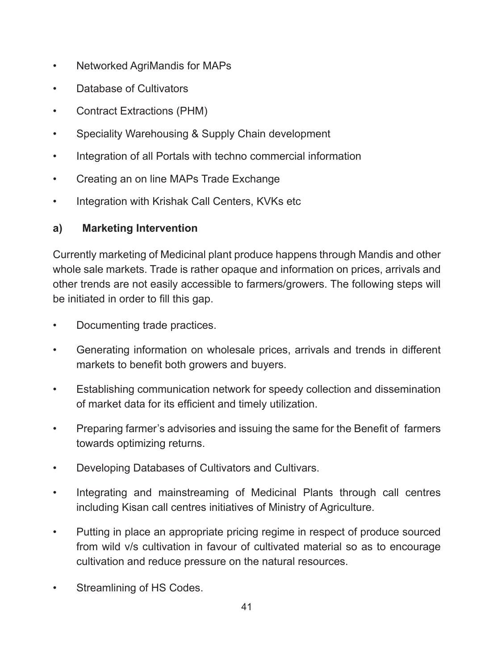- Networked AgriMandis for MAPs
- Database of Cultivators
- Contract Extractions (PHM)
- Speciality Warehousing & Supply Chain development
- Integration of all Portals with techno commercial information
- Creating an on line MAPs Trade Exchange
- Integration with Krishak Call Centers, KVKs etc

## **a) Marketing Intervention**

Currently marketing of Medicinal plant produce happens through Mandis and other whole sale markets. Trade is rather opaque and information on prices, arrivals and other trends are not easily accessible to farmers/growers. The following steps will be initiated in order to fill this gap.

- Documenting trade practices.
- Generating information on wholesale prices, arrivals and trends in different markets to benefit both growers and buyers.
- Establishing communication network for speedy collection and dissemination of market data for its eficient and timely utilization.
- Preparing farmer's advisories and issuing the same for the Benefit of farmers towards optimizing returns.
- Developing Databases of Cultivators and Cultivars.
- Integrating and mainstreaming of Medicinal Plants through call centres including Kisan call centres initiatives of Ministry of Agriculture.
- Putting in place an appropriate pricing regime in respect of produce sourced from wild v/s cultivation in favour of cultivated material so as to encourage cultivation and reduce pressure on the natural resources.
- Streamlining of HS Codes.